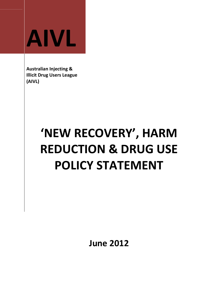

Australian Injecting & Illicit Drug Users League (AIVL)

# 'NEW RECOVERY', HARM REDUCTION & DRUG USE POLICY STATEMENT

June 2012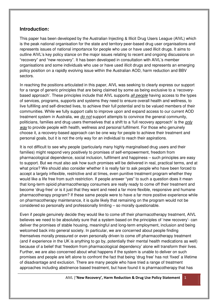#### **Introduction:**

This paper has been developed by the Australian Injecting & Illicit Drug Users League (AIVL) which is the peak national organisation for the state and territory peer-based drug user organisations and represents issues of national importance for people who use or have used illicit drugs. It aims to outline AIVL's key policy stance on the major issues relating to recent and ongoing discussions on "recovery" and "new recovery". It has been developed in consultation with AIVL's member organisations and some individuals who use or have used illicit drugs and represents an emerging policy position on a rapidly evolving issue within the Australian AOD, harm reduction and BBV sectors.

In reaching the positions articulated in this paper, AIVL was seeking to clearly express our support for a range of generic principles that are being claimed by some as being exclusive to a 'recoverybased approach'. These principles include that AIVL supports all people having access to the types of services, programs, supports and systems they need to ensure overall health and wellness, to live fulfilling and self-directed lives, to achieve their full potential and to be valued members of their communities. While we fully support calls to improve upon and expand access to our current AOD treatment system in Australia, we do not support attempts to convince the general community, politicians, families and drug users themselves that a shift to a 'full recovery approach' is the only way to provide people with health, wellness and personal fulfilment. For those who genuinely choose it, a recovery-based approach can be one way for people to achieve their treatment and personal goals, but it is not the only way for an individual to reach their aspirations.

It is not difficult to see why people (particularly many highly marginalised drug users and their families) might respond very positively to promises of self-empowerment, freedom from pharmacological dependence, social inclusion, fulfilment and happiness – such principles are easy to support. But we must also ask how such promises will be delivered in real, practical terms, and at what price? We should also consider whether it is really fair to ask people who have been forced to accept a largely inflexible, restrictive and at times, even punitive treatment program whether they would like a life free from such restriction. If people answer "yes" to such a question does it mean that long-term opioid pharmacotherapy consumers are really ready to come off their treatment and become 'drug-free' or is it just that they want and need a far more flexible, responsive and humane pharmacotherapy program? If these same people were to have a far more positive experience while on pharmacotherapy maintenance, it is quite likely that remaining on the program would not be considered so personally and professionally limiting – so morally questionable.

Even if people genuinely decide they would like to come off their pharmacotherapy treatment, AIVL believes we need to be absolutely sure that a system based on the principles of 'new recovery'- can deliver the promises of stable housing, meaningful and long-term employment, inclusion and being welcomed back into general society. In particular, we are concerned about people finding themselves morally pressured or even personally driven to come off pharmacotherapy treatment (and if experience in the UK is anything to go by, potentially their mental health medications as well) because of a belief that 'freedom from pharmacological dependency' alone will transform their lives. Further, we are also concerned about what happens if the system is unable to deliver on such promises and people are left alone to confront the fact that being 'drug free' has not 'fixed' a lifetime of disadvantage and exclusion. There are many people who have tried a range of treatment approaches including abstinence based treatment, but have found it is pharmacotherapy that has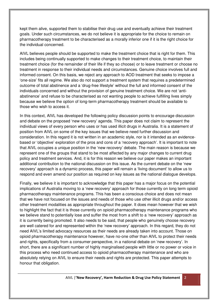kept them alive, supported them to stabilise their drug use and eventually achieve their treatment goals. Under such circumstances, we do not believe it is appropriate for the choice to remain on pharmacotherapy treatment to be characterised as a morally inferior one if it is the right choice for the individual concerned.

AIVL believes people should be supported to make the treatment choice that is right for them. This includes being continually supported to make changes to their treatment choice, to maintain their treatment choice (for the remainder of their life if they so choose) or to leave treatment or choose no treatment in response to their individual needs and circumstances. Genuine choice involves full and informed consent. On this basis, we reject any approach to AOD treatment that seeks to impose a 'one-size' fits all regime. We also do not support a treatment system that requires a predetermined outcome of total abstinence and a 'drug-free lifestyle' without the full and informed consent of the individuals concerned and without the provision of genuine treatment choice. We are not 'antiabstinence' and refuse to be characterised as not wanting people to achieve fulfilling lives simply because we believe the option of long-term pharmacotherapy treatment should be available to those who wish to access it.

In this context, AIVL has developed the following policy discussion points to encourage discussion and debate on the proposed 'new recovery' agenda. This paper does not claim to represent the individual views of every person who uses or has used illicit drugs in Australia. It is a statement of position from AIVL on some of the key issues that we believe need further discussion and consideration. In this regard it is not written in an academic style, nor is it intended as an evidencebased or 'objective' exploration of the pros and cons of a 'recovery approach'. It is important to note that AIVL occupies a unique position in the 'new recovery' debate. The main reason is because we represent one of the groups that stand to be most affected by any major changes to current drug policy and treatment services. And, it is for this reason we believe our paper makes an important additional contribution to the national discussion on this issue. As the current debate on the 'new recovery' approach is a dynamic process, this paper will remain a 'living document' to allow us to respond and even amend our position as required on key issues as the national dialogue develops.

Finally, we believe it is important to acknowledge that this paper has a major focus on the potential implications of Australia moving to a 'new recovery' approach for those currently on long term opioid pharmacotherapy maintenance programs. This has been a conscious choice and does not mean that we have not focused on the issues and needs of those who use other illicit drugs and/or access other treatment modalities as appropriate throughout the paper. It does mean however that we wish to highlight the fact that it is those currently on opioid pharmacotherapy maintenance programs who we believe stand to potentially lose and suffer the most from a shift to a 'new recovery' approach as it is currently being promoted. It also needs to be said, that people who genuinely choose recovery are well catered for and represented within the 'new recovery' approach. In this regard, they do not need AIVL's limited advocacy resources as their needs are already taken into account. Those on opioid pharmacotherapy maintenance however, have no-one other than AIVL to protect their needs and rights, specifically from a consumer perspective, in a national debate on 'new recovery'. In short, there are a significant number of highly marginalised people with little or no power or voice in this process who need continued access to opioid pharmacotherapy maintenance and who are absolutely relying on AIVL to ensure their needs and rights are protected. This paper attempts to honour that obligation.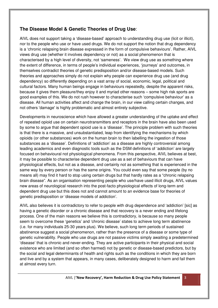# **The Disease Model & Genetic Theories of Drug Use**:

AIVL does not support taking a 'disease-based' approach to understanding drug use (licit or illicit), nor to the people who use or have used drugs. We do not support the notion that drug dependency is a 'chronic relapsing brain disease expressed in the form of compulsive behaviours'. Rather, AIVL views drug use (whether it involves dependency or not) as a social phenomenon that is characterised by a high level of diversity, not 'sameness'. We view drug use as something where the extent of difference, in terms of people's individual experiences, 'journeys' and outcomes, in themselves contradict theories of genetic predisposition and/or disease-based models. Such theories and approaches simply do not explain why people can experience drug use (and drug dependency) so differently depending on a vast array of social, economic, legal, political and cultural factors. Many human beings engage in behaviours repeatedly, despite the apparent risks, because it gives them pleasure/they enjoy it and myriad other reasons – some high risk sports are good examples of this. We do not rush however to characterise such 'compulsive behaviour' as a disease. All human activities affect and change the brain, in our view calling certain changes, and not others 'damage' is highly problematic and almost entirely subjective.

Developments in neuroscience which have allowed a greater understanding of the uptake and effect of repeated opioid use on certain neurotransmitters and receptors in the brain have also been used by some to argue that dependent opioid use is a 'disease'. The principle problem with such theories is that there is a massive, and unsubstantiated, leap from identifying the mechanisms by which opioids (or other substances) work on the human brain to then labelling the ingestion of those substances as a 'disease'. Definitions of 'addiction' as a disease are highly controversial among leading academics and even diagnostic tools such as the DSM definitions of 'addiction' are largely focused on behavioural not physiological phenomena. From this perspective, AIVL believes at best, it may be possible to characterise dependent drug use as a set of behaviours that can have physiological effects, but not as a disease, and certainly not as something that is experienced in the same way by every person or has the same origins. You could even say that some people (by no means all) may find it hard to stop using certain drugs but that hardly rates as a "chronic relapsing brain disease". As an organisation representing people who use/have used illicit drugs, AIVL values new areas of neurological research into the post-facto physiological effects of long-term and dependent drug use but this does not and cannot amount to an evidence base for theories of genetic predisposition or 'disease models of addiction'.

AIVL also believes it is contradictory to refer to people with drug dependence and 'addiction' [sic] as having a genetic disorder or a chronic disease and that recovery is a never ending and lifelong process. One of the main reasons we believe this is contradictory, is because so many people seem to overcome these 'genetics' and 'chronic disease' states to achieve long term abstinence (i.e. for many individuals 25-30 years plus). We believe, such long term periods of sustained abstinence suggest a social phenomenon, rather than the presence of a disease or some type of genetic vulnerability. People who use drugs are not passive victims simply awaiting a predetermined 'disease' that is chronic and never-ending. They are active participants in their physical and social existence who are limited (and so often harmed) not by genetic or disease-based predictors, but by the social and legal determinants of health and rights such as the conditions in which they are born and live and by a system that appears, in many cases, deliberately designed to harm and fail them at almost every turn.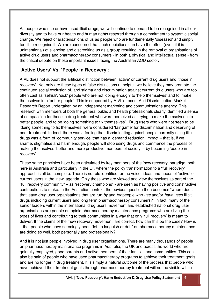As people who use or have used illicit drugs, we will continue to demand to be recognised in all our diversity and to have our health and human rights restored through a commitment to systemic social change. We reject characterisations of us as people who are fundamentally 'diseased' and simply too ill to recognise it. We are concerned that such depictions can have the effect (even if it is unintentional) of silencing and discrediting us as a group resulting in the removal of organisations of active drug users and pharmacotherapy consumers - in both a physical and intellectual sense - from the critical debate on these important issues facing the Australian AOD sector.

# **'Active Users' Vs. 'People in Recovery'**:

AIVL does not support the artificial distinction between 'active' or current drug users and 'those in recovery'. Not only are these types of false distinctions unhelpful, we believe they may promote the continued social exclusion of, and stigma and discrimination against current drug users who are too often cast as 'selfish', 'sick' people who are not 'doing enough' to 'help themselves' and to 'make' themselves into 'better people'. This is supported by AIVL's recent Anti-Discrimination Market Research Report undertaken by an independent marketing and communications agency. This research with members of both the general public and health professionals clearly identified a sense of compassion for those in drug treatment who were perceived as 'trying to make themselves into better people' and to be 'doing something to fix themselves'. Drug users who were not seen to be 'doing something to fix themselves' were considered 'fair game' for discrimination and deserving of poor treatment. Indeed, there was a feeling that discriminating against people currently using illicit drugs was a form of 'community service' that has a 'demand reduction' impact – that is, if we shame, stigmatise and harm enough, people will stop using drugs and commence the process of making themselves 'better and more productive members of society' – by becoming 'people in recovery'.

These same principles have been articulated by key members of the 'new recovery' paradigm both here in Australia and particularly in the UK where the policy transformation to a "full recovery" approach is all but complete. There is no role identified for the voice, ideas and needs of 'active' or current users in the 'new' agenda. Only those who are viewed and view themselves as part of the "full recovery community" – as "recovery champions" - are seen as having positive and constructive contributions to make. In the Australian context, the obvious question then becomes "where does that leave drug user organisations that are run by and for people who use and/or have used illicit drugs including current users and long term pharmacotherapy consumers?" In fact, many of the senior leaders within the international drug users movement and established national drug user organisations are people on opioid pharmacotherapy maintenance programs who are living the types of lives and contributing to their communities in a way that only 'full recovery' is meant to deliver. If the claims of the 'new recovery movement' are correct, how can this be the case? How is it that people who have seemingly been "left to languish or drift" on pharmacotherapy maintenance are doing so well, both personally and professionally?

And it is not just people involved in drug user organisations. There are many thousands of people on pharmacotherapy maintenance programs in Australia, the UK and across the world who are gainfully employed, good parents and active members of their families and communities. This can also be said of people who have used pharmacotherapy programs to achieve their treatment goals and are no longer in drug treatment. It is simply a natural outcome of the process that people who have achieved their treatment goals through pharmacotherapy treatment will not be visible within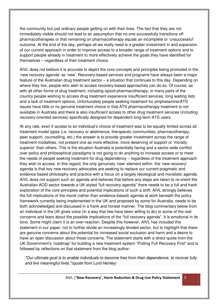the community but just ordinary people getting on with their lives. The fact that they are not immediately visible should not lead to an assumption that no-one successfully transitions off pharmacotherapies or that remaining on pharmacotherapy equals an incomplete or 'unsuccessful' outcome. At the end of the day, perhaps all we really need is a greater investment in and expansion of our current approach in order to improve access to a broader range of treatment options and to support people already in treatment to more effectively achieve the goals they have identified for themselves – regardless of their treatment choice.

AIVL does not believe it is accurate to depict the core concepts and principles being promoted in the 'new recovery agenda' as 'new'. Recovery-based services and programs have always been a major feature of the Australian drug treatment sector – a situation that continues to this day. Depending on where they live, people who wish to access recovery-based approaches can do so. Of course, as with all other forms of drug treatment, including opioid pharmacotherapy, in many parts of the country people wishing to access drug treatment experience insufficient services, long waiting lists and a lack of treatment options. Unfortunately people seeking treatment for amphetamine/ATS issues have little or no genuine treatment choice in that ATS pharmacotherapy treatment is not available in Australia and there is also insufficient access to other drug treatment services (including recovery-oriented services) specifically designed for dependent long-term ATS users.

At any rate, even if access to an individual's choice of treatment was to be equally limited across all treatment model types (i.e. recovery or abstinence, therapeutic communities, pharmacotherapy, peer support, counselling, etc.) the answer is to provide greater investment across the range of treatment modalities, not present one as more effective, more deserving of support or 'morally superior' than others. This is the situation Australia is potentially facing and a sector-wide conflict over policy and philosophical paradigms is not going to do anything to increase access or to meet the needs of people seeking treatment for drug dependency – regardless of the treatment approach they wish to access. In this regard, the only genuinely 'new' element within the 'new recovery' agenda is that key new recovery advocates are seeking to replace our current pragmatic and evidence-based philosophy and practice with a focus on a largely ideological and moralistic agenda. AIVL does not support such an agenda and believes that before any steps are taken to re-orient the Australian AOD sector towards a UK-styled "full recovery agenda" there needs to be a full and frank exploration of the core principles and potential implications of such a shift. AIVL strongly believes the full implications of the moral (rather than evidence-based) agenda at work beneath the policy framework currently being implemented in the UK and proposed by some for Australia, needs to be both acknowledged and discussed in a frank and honest manner. The blog commentary below from an individual in the UK gives voice (in a way that few have been willing to do) to some of the real concerns and fears about the possible implications of the "full recovery agenda". It is emotional in its tone. Some might claim it is an over-reaction. Despite this however, AIVL has included this statement in our paper, not to further divide an increasingly divided sector, but to highlight that there are genuine concerns about the potential for increased social exclusion and harm and a desire to have an open discussion about those concerns. The statement starts with a direct quote from the UK Government's 'roadmap' for building a new treatment system "Putting Full Recovery First" and is followed by reflections on that statement from the blog author:

"Our ultimate goal is to enable individuals to become free from their dependence, to recover fully and live meaningful lives."(quote from Lord Henley)

AIVL |'New Recovery', Harm Reduction & Drug Use Policy Statement 5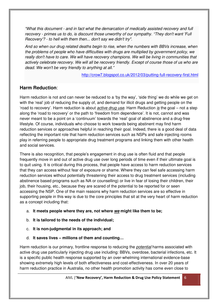"What this document - and in fact what the demarcation of medically assisted recovery and full recovery - primes us to do, is discount those unworthy of our sympathy. "They don't want 'Full Recovery'? - to hell with them then... don't say we didn't try".

And so when our drug related deaths begin to rise, when the numbers with BBVs increase, when the problems of people who have difficulties with drugs are multiplied by government policy, we really don't have to care. We will have recovery champions. We will be living in communities that actively celebrate recovery. We will all be recovery friendly. Except of course those of us who are dead. We won't be very friendly to anything at all."

http://crow7.blogspot.co.uk/2012/03/putting-full-recovery-first.html

# **Harm Reduction**:

Harm reduction is not and can never be reduced to a 'by the way', 'side thing' we do while we get on with the 'real' job of reducing the supply of, and demand for illicit drugs and getting people on the 'road to recovery'. Harm reduction is about *active drug use*. Harm Reduction is the goal – not a step along the 'road to recovery' or the path to 'freedom from dependence'. It is not, cannot and was never meant to be a point on a 'continuum' towards the 'real' goal of abstinence and a drug-free lifestyle. Of course, individuals who choose to work towards being abstinent may find harm reduction services or approaches helpful in reaching their goal. Indeed, there is a good deal of data reflecting the important role that harm reduction services such as NSPs and safe injecting rooms play in referring people to appropriate drug treatment programs and linking them with other health and social services.

There is also recognition, that people's engagement in drug use is often fluid and that people frequently move in and out of active drug use over long periods of time even if their ultimate goal is to quit using. It is critical during this process, that people have access to harm reduction services that they can access without fear of exposure or shame. Where they can feel safe accessing harm reduction services without potentially threatening their access to drug treatment services (including abstinence based programs such as NA or counselling) or live in fear of losing their children, their job, their housing, etc., because they are scared of the potential to be reported for or seen accessing the NSP. One of the main reasons why harm reduction services are so effective in supporting people in this way is due to the core principles that sit at the very heart of harm reduction as a concept including that:

- a. **It meets people where they are, not where we might like them to be;**
- b. **It is tailored to the needs of the individual;**
- c. **It is non-judgmental in its approach; and**
- d. **It saves lives millions of them and counting…**

Harm reduction is our primary, frontline response to reducing the *potential* harms associated with active drug use particularly injecting drug use including: BBVs, overdose, bacterial infections, etc. It is a specific public health response supported by an over-whelming international evidence-base showing extremely high levels of both effectiveness and cost-effectiveness. In over 20 years of harm reduction practice in Australia, no other health promotion activity has come even close to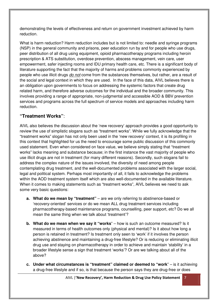demonstrating the levels of effectiveness and return on government investment achieved by harm reduction.

What is harm reduction? Harm reduction includes but is not limited to: needle and syringe programs (NSP) in the general community and prisons, peer education run by and for people who use drugs, peer distribution of all drug using equipment, opioid pharmacotherapy programs including heroin prescription & ATS substitution, overdose prevention, abscess management, vein care, user empowerment, safer injecting rooms and IDU primary health care, etc. There is a significant body of literature supporting the fact that the majority of harms and problems commonly experienced by people who use illicit drugs do not come from the substances themselves, but rather, are a result of the social and legal context in which they are used. In the face of this data, AIVL believes there is an obligation upon governments to focus on addressing the systemic factors that create drug related harm, and therefore adverse outcomes for the individual and the broader community. This involves providing a range of appropriate, non-judgmental and accessible AOD & BBV prevention services and programs across the full spectrum of service models and approaches including harm reduction.

# **"Treatment Works"**:

AIVL also believes the discussion about the 'new recovery' approach provides a good opportunity to review the use of simplistic slogans such as "treatment works". While we fully acknowledge that the "treatment works" slogan has not only been used in the 'new recovery' context, it is its profiling in this context that highlighted for us the need to encourage some public discussion of this commonly used statement. Even when considered on face value, we believe simply stating that "treatment works" lacks meaning and substance because; in the first instance the vast majority of people who use illicit drugs are not in treatment (for many different reasons). Secondly, such slogans fail to address the complex nature of the issues involved, the diversity of need among people contemplating drug treatment, and the well-documented problems associated with the larger social, legal and political system. Perhaps most importantly of all, it fails to acknowledge the problems within the AOD treatment system itself which are also well-documented in the available literature. When it comes to making statements such as "treatment works", AIVL believes we need to ask some very basic questions:

- **a. What do we mean by "treatment"** are we only referring to abstinence-based or 'recovery-oriented' services or do we mean ALL drug treatment services including pharmacotherapy-based maintenance programs, counselling, peer support, etc? Do we all mean the same thing when we talk about 'treatment'?
- **b. What do we mean when we say it "works**" how is such an outcome measured? Is it measured in terms of health outcomes only (physical and mental)? Is it about how long a person is retained in treatment? Is treatment only seen to 'work' if it involves the person achieving abstinence and maintaining a drug-free lifestyle? Or is reducing or eliminating illicit drug use and staying on pharmacotherapy in order to achieve and maintain 'stability' in a broader lifestyle sense a sign that treatment 'works'? Or are we talking about all of the above?
- **c. Under what circumstances is "treatment" claimed or deemed to "work**" is it achieving a drug-free lifestyle and if so, is that because the person says they are drug-free or does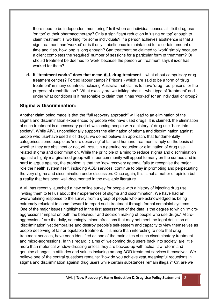there need to be independent monitoring? Is it when an individual ceases all illicit drug use 'on top' of their pharmacotherapy? Or is a significant reduction in 'using on top' enough to claim treatment is 'working' for some individuals? If a person achieves abstinence is that a sign treatment has 'worked' or is it only if abstinence is maintained for a certain amount of time and if so, how long is long enough? Can treatment be claimed to 'work' simply because a client completes the 'required' number of sessions for a particular form of treatment? Or should treatment be deemed to 'work' because the person on treatment says it is/or has worked for them?

**d. If "treatment works" does that mean ALL drug treatment** – what about compulsory drug treatment centres? Forced labour camps? Prisons - which are said to be a form of 'drug treatment' in many countries including Australia that claims to have 'drug free' prisons for the purpose of rehabilitation? What exactly are we talking about – what type of 'treatment' and under what conditions is it reasonable to claim that it has 'worked' for an individual or group?

# **Stigma & Discrimination:**

Another claim being made is that the "full recovery approach" will lead to an elimination of the stigma and discrimination experienced by people who have used drugs. It is claimed, the elimination of such treatment is a necessary part of welcoming people with a history of drug use "back into society". While AIVL unconditionally supports the elimination of stigma and discrimination against people who use/have used illicit drugs, we do not believe an approach, that fundamentally categorises some people as 'more deserving' of fair and humane treatment simply on the basis of whether they are abstinent or not, will result in a genuine reduction or elimination of drug userelated stigma and discrimination. While the principle of aiming to reduce stigma and discrimination against a highly marginalised group within our community will appeal to many on the surface and is hard to argue against, the problem is that the 'new recovery agenda' fails to recognise the major role the health system itself, including AOD services, continue to play in promoting and perpetuating the very stigma and discrimination under discussion. Once again, this is not a matter of opinion but a reality that has been well-documented in the available literature.

AIVL has recently launched a new online survey for people with a history of injecting drug use inviting them to tell us about their experiences of stigma and discrimination. We have had an overwhelming response to the survey from a group of people who are acknowledged as being extremely reluctant to come forward to report such treatment through formal complaint systems. One of the major issues highlighted in the first assessment of the data is the degree to which "microaggressions" impact on both the behaviour and decision making of people who use drugs." Microaggressions" are the daily, seemingly minor infractions that may not meet the legal definition of 'discrimination' yet demoralise and destroy people's self-esteem and capacity to view themselves as people deserving of fair or equitable treatment. It is more than interesting to note that drug treatment services, have been identified as one of the main sites of such discriminatory treatment and micro-aggressions. In this regard, claims of 'welcoming drug users back into society' are little more than rhetorical window-dressing unless they are backed-up with actual law reform and genuine changes in attitudes and values including among AOD treatment services themselves. We believe one of the central questions remains: "how do you achieve real, meaningful reductions in stigma and discrimination against drug users while certain substances remain illegal?" Or, are we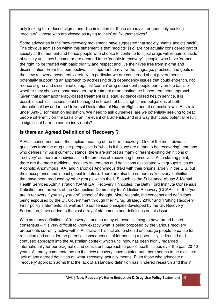only looking for reduced stigma and discrimination for those already in, or genuinely seeking 'recovery' – those who are viewed as trying to 'help' or 'fix' themselves?

Some advocates in the 'new recovery movement' have suggested that society "wants addicts back". The obvious admission within this statement is that "addicts" [sic] are not actually considered part of society at the moment and hence people who choose to continue to inject drugs will remain 'outside' of society until they become or are deemed to be 'people in recovery' - people, who have 'earned the right' to be treated with basic dignity and respect and live their lives free from stigma and discrimination. From this perspective, it is important to review the language, practices and goals of the 'new recovery movement' carefully. In particular we are concerned about governments potentially supporting an approach to addressing drug dependency issues that could entrench, not reduce stigma and discrimination against 'certain' drug dependent people purely on the basis of whether they choose a pharmacotherapy treatment or an abstinence-based treatment approach. Given that pharmacotherapy-based treatment is a legal, evidence-based health service, it is possible such distinctions could be judged in breach of basic rights and obligations at both international law under the Universal Declaration of Human Rights and at domestic law in Australia under Anti-Discrimination legislation. We need to ask ourselves, are we potentially seeking to treat people differently on the basis of an irrelevant characteristic and in a way that could potential result in significant harm to certain individuals?

# **Is there an Agreed Definition of 'Recovery'?**

AIVL is concerned about the implied meaning of the term 'recovery'. One of the most obvious questions from the drug user perspective is "what is it that we are meant to be 'recovering' from and who defines it?" As it currently stands, there are almost as many different existing definitions of 'recovery' as there are individuals in the process of 'recovering themselves'. As a starting point, there are the more traditional recovery statements and definitions associated with groups such as Alcoholic Anonymous (AA) and Narcotics Anonymous (NA) with their origins largely in the U.S. but their acceptance and impact global in nature. There are also the numerous 'recovery' definitions that have been produced by other groups within the U.S. such as the Substance Abuse & Mental Health Services Administration (SAMHSA) Recovery Principles, the Betty Ford Institute Consensus Definition and the work of the Connecticut Community for Addiction Recovery (CCAR) – or the "you are in recovery if you say you are" school of thought. More recently, the concepts and definitions being espoused by the UK Government through their "Drug Strategy 2010" and "Putting Recovery First" policy statements, as well as the consensus principles developed by the UK Recovery Federation, have added to the vast array of statements and definitions on this issue.

With so many definitions of 'recovery' – and so many of these claiming to have broad based consensus – it is very difficult to know exactly what is being proposed by the various recovery proponents currently active within Australia. This fact alone should encourage people to pause for reflection and consider the potential consequences of introducing a potentially ill-directed and confused approach into the Australian context which until now, has been highly regarded internationally for our pragmatic and consistent approach to public health issues over the past 20-40 years. As many commentators on the 'new recovery' have pointed out, there seems to be a distinct lack of any agreed definition on what 'recovery' actually means. Even those who advocate a 'recovery' approach admit that the lack of a standard definition has hindered research and this in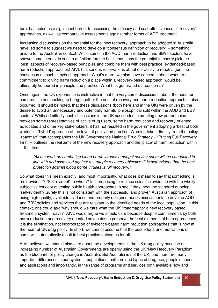turn, has acted as a significant barrier to assessing the efficacy and cost-effectiveness of 'recovery' approaches, as well as comparative assessments against other forms of AOD treatment.

Increasing discussions on the potential for the 'new recovery' approach to be adopted in Australia have led some to suggest we need to develop a "consensus definition of recovery" – something unique to the Australian context. While some in the AOD, harm reduction and BBVs sectors have shown some interest in such a definition (on the basis that it has the potential to cherry pick the 'best' aspects of recovery-based principles and combine them with best practice, evidenced-based harm reduction approaches) AIVL has serious reservations about our ability to reach a genuine consensus on such a 'hybrid' approach. What's more, we also have concerns about whether a commitment to 'giving harm reduction a place within a recovery-based approach' would be ultimately honoured in principle and practice. What has generated our concerns?

Once again, the UK experience is instructive in that the very same discussions about the need for compromise and seeking to bring together the best of recovery and harm reduction approaches also occurred. It should be noted, that these discussions (both here and in the UK) were driven by the desire to avoid an unnecessary and potentially harmful philosophical split within the AOD and BBV sectors. While admittedly such discussions in the UK succeeded in creating new partnerships between some representatives of active drug users, some harm reduction and recovery-oriented advocates and other key stakeholders, it has not resulted in the government adopting a 'best of both worlds' or 'hybrid' approach at the level of policy and practice. Wording taken directly from the policy "roadmap" that accompanies the UK Government's National Drug Strategy – "Putting Full Recovery First" – outlines the real aims of the new recovery approach and the 'place' of harm reduction within it. It states:

"All our work on combating blood borne viruses amongst service users will be conducted in line with and assessed against a strategic recovery objective. It is self-evident that the best protection against blood borne viruses is full recovery."

So what does this mean exactly, and most importantly, what does it mean to say that something is "self-evident"? "Self-evident" to whom? Is it proposing to replace scientific evidence with the wholly subjective concept of testing public health approaches to see if they meet the standard of being 'self-evident'? Surely this is not consistent with the successful and proven Australian approach of using high-quality, available evidence and properly designed needs assessments to develop AOD and BBV policies and services that are relevant to the identified needs of the local population. In this context, one could ask "why should we care what the UK "roadmap for a new recovery based treatment system" says?" AIVL would argue we should care because despite commitments by both harm reduction and recovery oriented advocates to preserve the best elements of both approaches, it is the elimination, not incorporation of evidence-based harm reduction approaches that is now at the heart of UK drug policy. In short, we cannot assume that the best efforts and motivations of some will automatically result in best practice outcomes for all.

AIVL believes we should also care about the developments in the UK drug policy because an increasing number of Australian Governments are openly using the UK 'New Recovery Paradigm' as the blueprint for policy change in Australia. But Australia is not the UK, and there are many important differences in our systems, populations, patterns and types of drug use, people's needs and aspirations and importantly, in the range of programs and services both available now and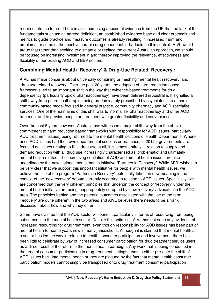required into the future. There is also increasing anecdotal evidence from the UK that the lack of the fundamentals such as: an agreed definition, an established evidence base and clear protocols and metrics to guide practice and measure outcomes is already resulting in increased harm and problems for some of the most vulnerable drug dependent individuals. In this context, AIVL would argue that rather than seeking to dismantle or replace the current Australian approach, we should be focused on increasing investment in and thereby improving the relevance, effectiveness and flexibility of our existing AOD and BBV sectors.

# **Combining Mental Health 'Recovery' & Drug-Use Related 'Recovery':**

AIVL has major concerns about universally combining or meshing 'mental health recovery' and 'drug use related recovery'. Over the past 20 years, the adoption of harm reduction based frameworks led to an important shift in the way that evidence-based treatments for drug dependency (particularly opioid pharmacotherapy) have been delivered in Australia. It signalled a shift away from pharmacotherapies being predominately prescribed by psychiatrists to a more community-based model focused in general practice, community pharmacy and AOD specialist services. One of the main aims of this shift was to 'normalise' pharmacotherapy and other AOD treatment and to provide people on treatment with greater flexibility and convenience.

Over the past 5 years however, Australia has witnessed a major shift away from the above commitment to harm reduction based frameworks with responsibility for AOD issues (particularly AOD treatment issues) being returned to the mental health sections of Health Departments. Where once AOD issues had their own departmental sections or branches, in 2012 if governments are focused on issues relating to illicit drug use at all, it is almost entirely in relation to supply and demand reduction with all drug use increasingly characterised as 'problematic' and ultimately mental health related. The increasing conflation of AOD and mental health issues are also underlined by the new national mental health initiative "Partners in Recovery". While AIVL wishes to be very clear that we support this important initiative for people with mental health issues, we believe the title of the program "Partners in Recovery" potentially takes on new meaning in the context of the 'new recovery' debate currently occurring in relation to AOD issues. Specifically, we are concerned that the very different principles that underpin the concept of 'recovery' under the mental health initiative are being inappropriately co-opted by 'new recovery' advocates in the AOD area. The principles behind and the potential outcomes associated with the use of the term 'recovery' are quite different in the two areas and AIVL believes there needs to be a frank discussion about how and why they differ.

Some have claimed that the AOD sector will benefit, particularly in terms of resourcing from being subsumed into the mental health sector. Despite this optimism, AIVL has not seen any evidence of increased resourcing for drug treatment, even though responsibility for AOD issues has been part of mental health for some years now in many jurisdictions. Although it is claimed that mental health as a sector has led the way in relation to health consumer participation and involvement, there has been little to celebrate by way of increased consumer participation for drug treatment service users as a direct result of the return to the mental health paradigm. Any work that is being conducted in the area of consumer participation in drug treatment settings tends to either pre-date the shift of AOD issues back into mental health or they are plagued by the fact that mental health consumer participation models cannot simply be transposed onto drug treatment consumer participation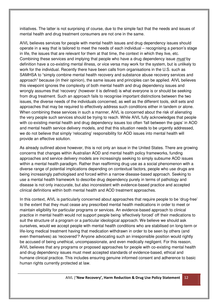initiatives. The latter is not surprising of course, due to the simple fact that the needs and issues of mental health and drug treatment consumers are not one in the same.

AIVL believes services for people with mental health issues and drug dependency issues should operate in a way that is tailored to meet the needs of each individual – recognising a person's stage in life, the issues that are relevant for them at that time, the context in which they live, etc. Combining these services and implying that people who have a drug dependency issue must by definition have a co-existing mental illness, or vice versa may work for the system, but is unlikely to work for the individual. Recently there have been calls from organisations in the U.S. such as SAMHSA to "simply combine mental health recovery and substance abuse recovery services and approach" because (in their opinion), the same issues and principles can be applied. AIVL believes this viewpoint ignores the complexity of both mental health and drug dependency issues and wrongly assumes that 'recovery' (however it is defined) is what everyone is or should be seeking from drug treatment. Such an approach fails to recognise important distinctions between the two issues, the diverse needs of the individuals concerned, as well as the different tools, skill sets and approaches that may be required to effectively address such conditions either in tandem or alone. When combining these services in such a manner, AIVL is concerned about the risk of alienating the very people such services should be trying to reach. While AIVL fully acknowledges that people with co-existing mental health and drug dependency issues too often 'fall between the gaps' in AOD and mental health service delivery models, and that this situation needs to be urgently addressed, we do not believe that simply 'relocating' responsibility for AOD issues into mental health will provide an effective solution.

As already outlined above however, this is not only an issue in the United States. There are growing concerns that changes within Australian AOD and mental health policy frameworks, funding approaches and service delivery models are increasingly seeking to simply subsume AOD issues within a mental health paradigm. Rather than reaffirming drug use as a social phenomenon with a diverse range of potential implications depending on contextual factors, people who use drugs are being increasingly pathologised and forced within a narrow disease-based approach. Seeking to use a mental health framework to describe drug dependency purely in terms of pathology and disease is not only inaccurate, but also inconsistent with evidence-based practice and accepted clinical definitions within both mental health and AOD treatment approaches.

In this context, AIVL is particularly concerned about approaches that require people to be 'drug-free' to the extent that they must cease any prescribed mental health medications in order to meet or maintain eligibility for particular programs or services. An evidence-based approach to clinical practice in mental health would not support people being 'effectively forced' off their medications to suit the structure of a program or a particular ideological approach. We believe we should ask ourselves, would we accept people with mental health conditions who are stabilised on long-term or life-long medical treatment having that medication withdrawn in order to be seen by others (and even themselves) as 'recovered'? Anyone advocating such an irresponsible position would rightly be accused of being unethical, uncompassionate, and even medically negligent. For this reason, AIVL believes that any programs or proposed approaches for people with co-existing mental health and drug dependency issues must meet accepted standards of evidence-based, ethical and humane clinical practice. This includes ensuring genuine informed consent and adherence to basic human rights currently protected at law.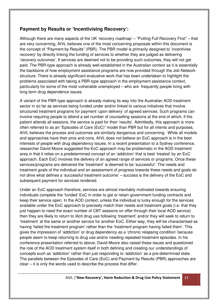# **Payment by Results or 'Incentivising Recovery':**

Although there are many aspects of the UK 'recovery roadmap' – "Putting Full Recovery First" – that are very concerning, AIVL believes one of the most concerning proposals within this document is the concept of "Payment by Results" (PBR). The PBR model is primarily designed to 'incentivise recovery' by directly linking the funding of services to whether they are judged as delivering 'recovery outcomes'. If services are deemed not to be providing such outcomes, they will not get paid. The PBR-type approach is already well-established in the Australian context as it is essentially the backbone of how employment assistance programs are now provided through the Job Network structure. There is already significant evaluative work that has been undertaken to highlight the problems associated with taking a PBR-type approach in the employment assistance context, particularly for some of the most vulnerable unemployed – who are frequently people living with long term drug dependence issues.

A variant of the PBR-type approach is already making its way into the Australian AOD treatment sector in so far as services being funded under and/or linked to various initiatives that involve structured treatment programs for payment 'upon delivery' of agreed services. Such programs can involve requiring people to attend a set number of counselling sessions at the end of which, if the patient attends all sessions, the service is paid for their 'results'. Admittedly, this approach is more often referred to as an "Episodes of Care (EoC)" model than PBR but for all intents and purposes, AIVL believes the process and outcomes are similarly dangerous and concerning. While all models and approaches have their pros and cons, AIVL does not believe an EoC approach is in the best interests of people with drug dependency issues. In a recent presentation to a Sydney conference, researcher David Moore suggested the EoC approach may be problematic in the AOD treatment area in that it relies on a predetermined concept of an 'addiction' that is best 'treated' by an EoC approach. Each EoC involves the delivery of an agreed range of services or programs. Once these services/programs are delivered the 'treatment' is deemed to be 'successful'. The needs and treatment goals of the individual and an assessment of progress towards these needs and goals do not drive what defines a 'successful treatment outcome' – success is the delivery of the EoC and subsequent payment for services rendered.

Under an EoC approach therefore, services are almost inevitably motivated towards ensuring individuals complete the 'funded' EoC in order to get or retain government funding contracts and keep their service open. In the AOD context, unless the individual is lucky enough for the services available under the EoC approach to precisely match their needs and treatment goals (i.e. that they just happen to need the exact number of CBT sessions on offer through their local AOD service) then they are likely to return to illicit drug use following 'treatment' and/or they will seek to return to 'treatment' at the same or another service for another EoC. Either way, they will be characterised as having 'failed the treatment program' rather than the 'treatment program having failed them'. This gives the impression of 'addiction' or drug dependency as a 'chronic relapsing condition' because people seem to keep returning to drug use and/or needing repeated treatment episodes. In his conference presentation referred to above, David Moore also raised these issues and questioned the role of the AOD treatment system itself in both defining and creating our understandings of concepts such as 'addiction' rather than just responding to 'addiction' as a pre-determined state. The parallels between the Episodes of Care (EoC) and Payment by Results (PBR) approaches are clear – it is only the words used to describe the process that differ.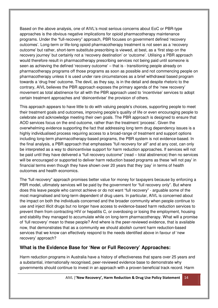Based on the above analysis, one of AIVL's most serious concerns about EoC or PBR-type approaches is the obvious negative implications for opioid pharmacotherapy maintenance programs. Under the "full-recovery" approach, PBR focuses on government defined 'recovery outcomes'. Long-term or life-long opioid pharmacotherapy treatment is not seen as a 'recovery outcome' but rather, short-term substitute prescribing is viewed, at best, as a 'first step on the recovery journey' but certainly not a 'recovery destination' or 'outcome'. Utilising a PBR approach would therefore result in pharmacotherapy prescribing services not being paid until someone is seen as achieving the defined 'recovery outcome' – that is - transitioning people already on pharmacotherapy programs off those programs as soon as possible and not commencing people on pharmacotherapy unless it is used under rare circumstances as a brief withdrawal based program towards a 'drug free' outcome. The devil, as they say, is in the detail and despite rhetoric to the contrary, AIVL believes the PBR approach exposes the primary agenda of the 'new recovery' movement as total abstinence for all with the PBR approach used to 'incentivise' services to adopt certain treatment approaches and 'disincentivise' the provision of others.

This approach appears to have little to do with valuing people's choices, supporting people to meet their treatment goals and outcomes, improving people's quality of life or even encouraging people to celebrate and acknowledge meeting their own goals. The PBR approach is designed to ensure that AOD services focus on the end outcome, rather than the treatment 'process'. Given the overwhelming evidence supporting the fact that addressing long term drug dependency issues is a highly individualised process requiring access to a broad-range of treatment and support options including long-term pharmacotherapy-based programs, the PBR system is not evidence-based. In the final analysis, a PBR approach that emphasises "full recovery for all" and at any cost, can only be interpreted as a way to disincentivise support for harm reduction approaches. If services will not be paid until they have delivered a "full recovery outcome" (read – total abstinence) then no services will be encouraged or supported to deliver harm reduction based programs as these 'will not pay' in financial terms even though they have shown over 20 years that they 'pay' in terms of health outcomes and health economics.

The "full recovery" approach promises better value for money for taxpayers because by enforcing a PBR model, ultimately services will be paid by the government for "full recovery only". But where does this leave people who cannot achieve or do not want "full recovery" - arguable some of the most marginalised and long-term dependent of drug users. In particular, AIVL is concerned about the impact on both the individuals concerned and the broader community when people continue to use and inject illicit drugs but no longer have access to evidence-based harm reduction services to prevent them from contracting HIV or hepatitis C, or overdosing or losing the employment, housing and stability they managed to accumulate while on long-term pharmacotherapy. What will a promise of 'full recovery' mean to these people? And where is the peer-reviewed evidence, that is available now, that demonstrates that as a community we should abolish current harm reduction-based services that we know can effectively respond to the needs identified above in favour of 'new recovery' approach?

### **What is the Evidence Base for 'New or Full Recovery' Approaches:**

Harm reduction programs in Australia have a history of effectiveness that spans over 25 years and a substantial, internationally recognised, peer-reviewed evidence base to demonstrate why governments should continue to invest in an approach with a proven beneficial track record. Harm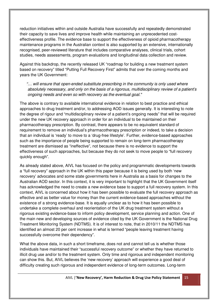reduction initiatives within and outside Australia have successfully and repeatedly demonstrated their capacity to save lives and improve health while maintaining an unprecedented costeffectiveness profile. The evidence base to support the effectiveness of opioid pharmacotherapy maintenance programs in the Australian context is also supported by an extensive, internationally recognised, peer-reviewed literature that includes comparative analyses, clinical trials, cohort studies, needs assessments, program evaluations and longitudinal data collection and review.

Against this backdrop, the recently released UK "roadmap for building a new treatment system based on recovery" titled "Putting Full Recovery First" admits that over the coming months and years the UK Government:

"… will ensure that open-ended substitute prescribing in the community is only used where absolutely necessary, and only on the basis of a rigorous, multidisciplinary review of a patient's ongoing needs and even so with recovery as the eventual goal."

The above is contrary to available international evidence in relation to best practice and ethical approaches to drug treatment and/or, to addressing AOD issues generally. It is interesting to note the degree of rigour and "multidisciplinary review of a patient's ongoing needs" that will be required under the new UK recovery approach in order for an individual to be maintained on their pharmacotherapy prescription. By contrast, there appears to be no equivalent standard of requirement to remove an individual's pharmacotherapy prescription or indeed, to take a decision that an individual is 'ready' to move to a 'drug-free lifestyle'. Further, evidence-based approaches such as the importance of people being supported to remain on long-term pharmacotherapy treatment are dismissed as "ineffective", not because there is no evidence to support the effectiveness of such approaches, but because they do not seek to move people to "full recovery quickly enough".

As already stated above, AIVL has focused on the policy and programmatic developments towards a "full recovery" approach in the UK within this paper because it is being used by both 'new recovery' advocates and some state governments here in Australia as a basis for changes to the Australian AOD sector. In this context, it is very important to highlight that the UK Government itself has acknowledged the need to create a new evidence base to support a full recovery system. In this context, AIVL is concerned about how it has been possible to evaluate the full recovery approach as effective and as better value for money than the current evidence-based approaches without the existence of a strong evidence-base. It is equally unclear as to how it has been possible to undertake a complete overhaul and reorientation of the UK drug treatment system without a rigorous existing evidence-base to inform policy development, service planning and action. One of the main new and developing sources of evidence cited by the UK Government is the National Drug Treatment Monitoring System (NDTMS). It is of interest to note, that in 2010/11 the NDTMS has identified an almost 20 per cent increase in what is termed "people leaving treatment having successfully overcome their dependency".

What the above data, in such a short timeframe, does not and cannot tell us is whether those individuals have maintained their "successful recovery outcome" or whether they have returned to illicit drug use and/or to the treatment system. Only time and rigorous and independent monitoring can show this. But, AIVL believes the 'new recovery' approach will experience a good deal of difficulty creating such rigorous and independent evidence of long-term outcomes. Long-term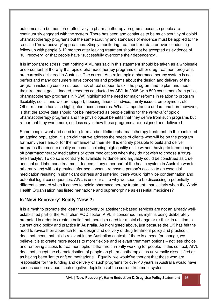outcomes can be monitored effectively in pharmacotherapy programs because people are continuously engaged with the system. There has been and continues to be much scrutiny of opioid pharmacotherapy programs but the same scrutiny and standards of evidence must be applied to the so-called 'new recovery' approaches. Simply monitoring treatment exit data or even conducting follow-up with people 6-12 months after leaving treatment should not be accepted as evidence of "full recovery" or that people have "successfully overcome their dependency".

It is important to stress, that nothing AIVL has said in this statement should be taken as a wholesale endorsement of the way that opioid pharmacotherapy programs or other drug treatment programs are currently delivered in Australia. The current Australian opioid pharmacotherapy system is not perfect and many consumers have concerns and problems about the design and delivery of the program including concerns about lack of real support to exit the program and to plan and meet their treatment goals. Indeed, research conducted by AIVL in 2005 (with 500 consumers from public pharmacotherapy programs in NSW) highlighted the need for major reforms in relation to program flexibility, social and welfare support, housing, financial advice, family issues, employment, etc. Other research has also highlighted these concerns. What is important to understand here however, is that the above data should not be interpreted as people calling for the removal of opioid pharmacotherapy programs and the physiological benefits that they derive from such programs but rather that they want more, not less say in how these programs are designed and delivered.

Some people want and need long-term and/or lifetime pharmacotherapy treatment. In the context of an ageing population, it is crucial that we address the needs of clients who will be on the program for many years and/or for the remainder of their life. It is entirely possible to build and deliver programs that ensure quality outcomes including high quality of life without having to force people off pharmacotherapy medications or other medications when they do not wish to choose a 'drugfree lifestyle'. To do so is contrary to available evidence and arguably could be construed as cruel, unusual and inhumane treatment. Indeed, if any other part of the health system in Australia was to arbitrarily and without genuine informed consent, remove a person's access to an essential medication resulting in significant distress and suffering, there would rightly be condemnation and potential legal consequences. AIVL is unclear as to why we seem to be discussing a potentially different standard when it comes to opioid pharmacotherapy treatment - particularly when the World Health Organisation has listed methadone and buprenorphine as essential medicines?

### **Is 'New Recovery' Really 'New'?:**

It is a myth to promote the idea that recovery or abstinence-based services are not an already wellestablished part of the Australian AOD sector. AIVL is concerned this myth is being deliberately promoted in order to create a belief that there is a need for a total change or re-think in relation to current drug policy and practice in Australia. As highlighted above, just because the UK has felt the need to revise their approach to the design and delivery of drug treatment policy and practice, it does not mean that this is relevant in the Australian context. If there is a need for change, we believe it is to create more access to more flexible and relevant treatment options – not less choice and removing access to treatment options that are currently working for people. In this context, AIVL does not accept the characterisation of people on pharmacotherapies as universally dissatisfied or as having been 'left to drift on methadone'. Equally, we would've thought that those who are responsible for the funding and delivery of such programs for over 40 years in Australia would have serious concerns about such negative depictions of the current treatment system.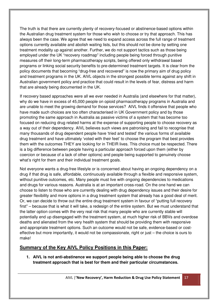The truth is that there are currently plenty of recovery-focused or abstinence-based options within the Australian drug treatment system for those who wish to choose or try that approach. This has always been the case. We agree that we need to expand access across the full range of treatment options currently available and abolish waiting lists, but this should not be done by setting one treatment modality up against another. Further, we do not support tactics such as those being employed under the UK "recovery roadmap" including people being forced through punitive measures off their long-term pharmacotherapy scripts, being offered only withdrawal based programs or linking social security benefits to pre-determined treatment targets. It is clear from the policy documents that becoming "drug-free and recovered" is now the primary aim of drug policy and treatment programs in the UK. AIVL objects in the strongest possible terms against any shift in Australian government policy and practice that could result in the levels of fear, distress and harm that are already being documented in the UK.

If recovery based approaches were all we ever needed in Australia (and elsewhere for that matter), why do we have in excess of 45,000 people on opioid pharmacotherapy programs in Australia and are unable to meet the growing demand for those services? AIVL finds it offensive that people who have made such choices are too often characterised in UK Government policy and by those promoting the same approach in Australia as passive victims of a system that has become too focused on reducing drug related harms at the expense of supporting people to choose recovery as a way out of their dependency. AIVL believes such views are patronising and fail to recognise that many thousands of drug dependent people have 'tried and tested' the various forms of available drug treatment and have ultimately 'voted with their feet' to choose the program that best provides them with the outcomes THEY are looking for in THEIR lives. This choice must be respected. There is a big difference between people having a particular approach forced upon them (either by coercion or because of a lack of other options) and people being supported to genuinely choose what's right for them and their individual treatment goals.

Not everyone wants a drug-free lifestyle or is concerned about having an ongoing dependency on a drug if that drug is safe, affordable, continuously available through a flexible and responsive system, without punitive outcomes, etc. Many people must live with ongoing dependencies to medications and drugs for various reasons. Australia is at an important cross-road. On the one hand we can choose to listen to those who are currently dealing with drug dependency issues and their desire for greater flexibility and more options in a drug treatment system that already has a good deal of merit. Or, we can decide to throw out the entire drug treatment system in favour of "putting full recovery first" – because that is what it will take, a redesign of the entire system. But we must understand that the latter option comes with the very real risk that many people who are currently stable will potentially end up disengaged with the treatment system, at much higher risk of BBVs and overdose deaths and alienated from the very health system that should be providing them with responsive and appropriate treatment options. Such an outcome would not be safe, evidence-based or costeffective but more importantly, it would not be compassionate, right or just – the choice is ours to make!

### **Summary of the Key AIVL Policy Positions in this Paper:**

**1. AIVL is not anti-abstinence we support people being able to choose the drug treatment approach that is best for them and their particular circumstances.**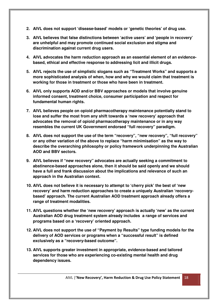- **2. AIVL does not support 'disease-based' models or 'genetic theories' of drug use.**
- **3. AIVL believes that false distinctions between 'active users' and 'people in recovery' are unhelpful and may promote continued social exclusion and stigma and discrimination against current drug users.**
- **4. AIVL advocates the harm reduction approach as an essential element of an evidencebased, ethical and effective response to addressing licit and illicit drugs.**
- **5. AIVL rejects the use of simplistic slogans such as "Treatment Works" and supports a more sophisticated analysis of when, how and why we would claim that treatment is working for those in treatment or those who have been in treatment.**
- **6. AIVL only supports AOD and/or BBV approaches or models that involve genuine informed consent, treatment choice, consumer participation and respect for fundamental human rights.**
- **7. AIVL believes people on opioid pharmacotherapy maintenance potentially stand to lose and suffer the most from any shift towards a 'new recovery' approach that advocates the removal of opioid pharmacotherapy maintenance or in any way resembles the current UK Government endorsed "full recovery" paradigm.**
- **8. AIVL does not support the use of the term "recovery", "new recovery", "full recovery" or any other variation of the above to replace "harm minimisation" as the way to describe the overarching philosophy or policy framework underpinning the Australian AOD and BBV sectors.**
- **9. AIVL believes if "new recovery" advocates are actually seeking a commitment to abstinence-based approaches alone, then it should be said openly and we should have a full and frank discussion about the implications and relevance of such an approach in the Australian context.**
- **10. AIVL does not believe it is necessary to attempt to 'cherry pick' the best of 'new recovery' and harm reduction approaches to create a uniquely Australian 'recoverybased' approach. The current Australian AOD treatment approach already offers a range of treatment modalities.**
- **11. AIVL questions whether the 'new recovery' approach is actually 'new' as the current Australian AOD drug treatment system already includes a range of services and programs based on a 'recovery' oriented approach.**
- **12. AIVL does not support the use of "Payment by Results" type funding models for the delivery of AOD services or programs when a "successful result" is defined exclusively as a "recovery-based outcome".**
- **13. AIVL supports greater investment in appropriate, evidence-based and tailored services for those who are experiencing co-existing mental health and drug dependency issues.**